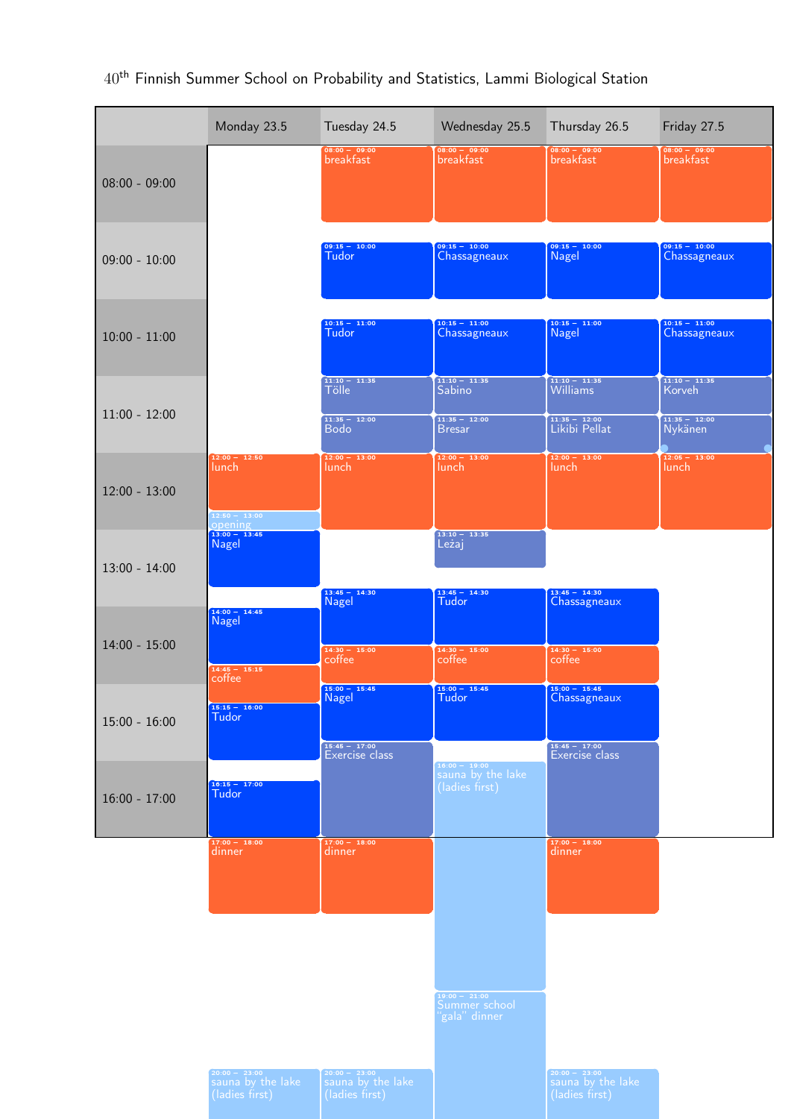|                 | Monday 23.5                                                  | Tuesday 24.5                                               | Wednesday 25.5                                                       | Thursday 26.5                                                               | Friday 27.5                                             |
|-----------------|--------------------------------------------------------------|------------------------------------------------------------|----------------------------------------------------------------------|-----------------------------------------------------------------------------|---------------------------------------------------------|
| $08:00 - 09:00$ |                                                              | $08:00 - 09:00$<br>breakfast                               | $08:00 - 09:00$<br>breakfast                                         | $08:00 - 09:00$<br>breakfast                                                | $08:00 - 09:00$<br>breakfast                            |
| $09:00 - 10:00$ |                                                              | $09:15 - 10:00$<br>Tudor                                   | $09:15 - 10:00$<br>Chassagneaux                                      | $09:15 - 10:00$<br><b>Nagel</b>                                             | $09:15 - 10:00$<br>Chassagneaux                         |
| $10:00 - 11:00$ |                                                              | $10:15 - 11:00$<br>Tudor                                   | $10:15 - 11:00$<br>Chassagneaux                                      | $10:15 - 11:00$<br><b>Nagel</b>                                             | $10:15 - 11:00$<br>Chassagneaux                         |
| $11:00 - 12:00$ |                                                              | $11:10 - 11:35$<br><b>Tölle</b><br>$11:35 - 12:00$<br>Bodo | $11:10 - 11:35$<br><b>Sabino</b><br>$11:35 - 12:00$<br><b>Bresar</b> | $\frac{11:10 - 11:35}{\text{Williams}}$<br>$11:35 - 12:00$<br>Likibi Pellat | $11:10 - 11:35$<br>Korveh<br>$11:35 - 12:00$<br>Nykänen |
| $12:00 - 13:00$ | $12:00 - 12:50$<br>lunch<br>$12:50 - 13:00$                  | $12:00 - 13:00$<br>lunch                                   | $12:00 - 13:00$<br>lunch                                             | $12:00 - 13:00$<br>lunch                                                    | $12:05 - 13:00$<br>lunch                                |
| $13:00 - 14:00$ | opening<br>$13:00 - 13:45$<br><b>Nagel</b>                   | $13:45 - 14:30$                                            | $13:10 - 13:35$<br>Leżaj<br>$13:45 - 14:30$                          | $13:45 - 14:30$                                                             |                                                         |
| $14:00 - 15:00$ | $14:00 - 14:45$<br><b>Nagel</b>                              | <b>Nagel</b><br>$14:30 - 15:00$<br>coffee                  | Tudor<br>$14:30 - 15:00$<br>coffee                                   | Chassagneaux<br>$14:30 - 15:00$<br>coffee                                   |                                                         |
| $15:00 - 16:00$ | $14:45 - 15:15$<br>coffee<br>$15:15 - 16:00$<br><b>Tudor</b> | $15:00 - 15:45$<br>Nagel                                   | $15:00 - 15:45$<br>Tudor                                             | $15:00 - 15:45$<br>Chassagneaux                                             |                                                         |
| $16:00 - 17:00$ | $16:15 - 17:00$<br><b>Tudor</b>                              | $15:45 - 17:00$<br>Exercise class                          | $\frac{16:00 - 19:00}{ }$<br>sauna by the lake<br>(ladies first)     | $15:45 - 17:00$<br>Exercise class                                           |                                                         |
|                 | $17:00 - 18:00$<br>dinner                                    | $17:00 - 18:00$<br>dinner                                  |                                                                      | $17:00 - 18:00$<br>dinner                                                   |                                                         |
|                 |                                                              |                                                            |                                                                      |                                                                             |                                                         |
|                 |                                                              |                                                            | $19:00 - 21:00$<br>Summer school<br>'gala" dinner                    |                                                                             |                                                         |
|                 | $20:00 - 23:00$<br>sauna by the lake<br>(ladies first)       | $20:00 - 23:00$<br>sauna by the lake<br>(ladies first)     |                                                                      | $20:00 - 23:00$<br>sauna by the lake<br>(ladies first)                      |                                                         |

# $40^{\sf th}$  Finnish Summer School on Probability and Statistics, Lammi Biological Station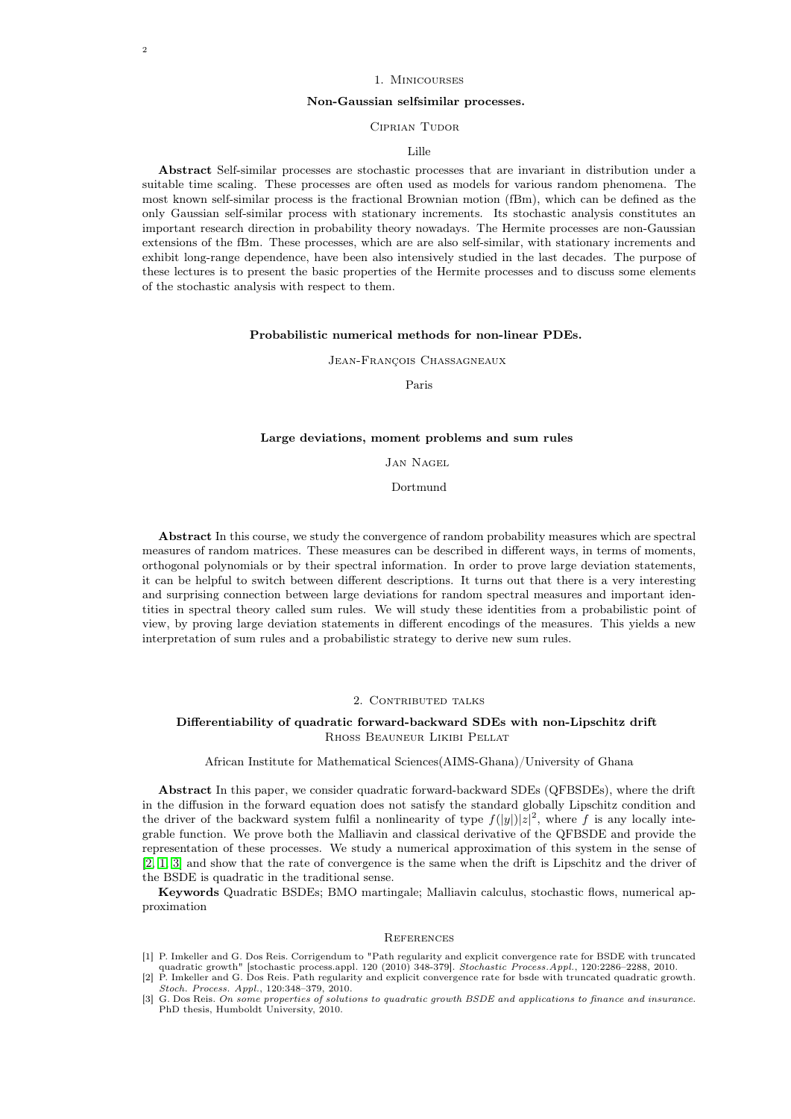## 1. Minicourses

# Non-Gaussian selfsimilar processes.

## CIPRIAN TUDOR

#### Lille

Abstract Self-similar processes are stochastic processes that are invariant in distribution under a suitable time scaling. These processes are often used as models for various random phenomena. The most known self-similar process is the fractional Brownian motion (fBm), which can be defined as the only Gaussian self-similar process with stationary increments. Its stochastic analysis constitutes an important research direction in probability theory nowadays. The Hermite processes are non-Gaussian extensions of the fBm. These processes, which are are also self-similar, with stationary increments and exhibit long-range dependence, have been also intensively studied in the last decades. The purpose of these lectures is to present the basic properties of the Hermite processes and to discuss some elements of the stochastic analysis with respect to them.

#### Probabilistic numerical methods for non-linear PDEs.

Jean-François Chassagneaux

Paris

#### Large deviations, moment problems and sum rules

# Jan Nagel

Dortmund

Abstract In this course, we study the convergence of random probability measures which are spectral measures of random matrices. These measures can be described in different ways, in terms of moments, orthogonal polynomials or by their spectral information. In order to prove large deviation statements, it can be helpful to switch between different descriptions. It turns out that there is a very interesting and surprising connection between large deviations for random spectral measures and important identities in spectral theory called sum rules. We will study these identities from a probabilistic point of view, by proving large deviation statements in different encodings of the measures. This yields a new interpretation of sum rules and a probabilistic strategy to derive new sum rules.

#### 2. CONTRIBUTED TALKS

## Differentiability of quadratic forward-backward SDEs with non-Lipschitz drift Rhoss Beauneur Likibi Pellat

African Institute for Mathematical Sciences(AIMS-Ghana)/University of Ghana

Abstract In this paper, we consider quadratic forward-backward SDEs (QFBSDEs), where the drift in the diffusion in the forward equation does not satisfy the standard globally Lipschitz condition and the driver of the backward system fulfil a nonlinearity of type  $f(|y|)|z|^2$ , where f is any locally integrable function. We prove both the Malliavin and classical derivative of the QFBSDE and provide the representation of these processes. We study a numerical approximation of this system in the sense of [\[2,](#page-1-0) [1,](#page-1-1) [3\]](#page-1-2) and show that the rate of convergence is the same when the drift is Lipschitz and the driver of the BSDE is quadratic in the traditional sense.

Keywords Quadratic BSDEs; BMO martingale; Malliavin calculus, stochastic flows, numerical approximation

#### **REFERENCES**

- <span id="page-1-1"></span>[1] P. Imkeller and G. Dos Reis. Corrigendum to "Path regularity and explicit convergence rate for BSDE with truncated
- <span id="page-1-0"></span>quadratic growth" [stochastic process.appl. 120 (2010) 348-379]. *Stochastic Process.Appl.*, 120:2286-2288, 2010.<br>[2] P. Imkeller and G. Dos Reis. Path regularity and explicit convergence rate for bsde with truncated quadr Stoch. Process. Appl., 120:348–379, 2010.
- <span id="page-1-2"></span>[3] G. Dos Reis. On some properties of solutions to quadratic growth BSDE and applications to finance and insurance. PhD thesis, Humboldt University, 2010.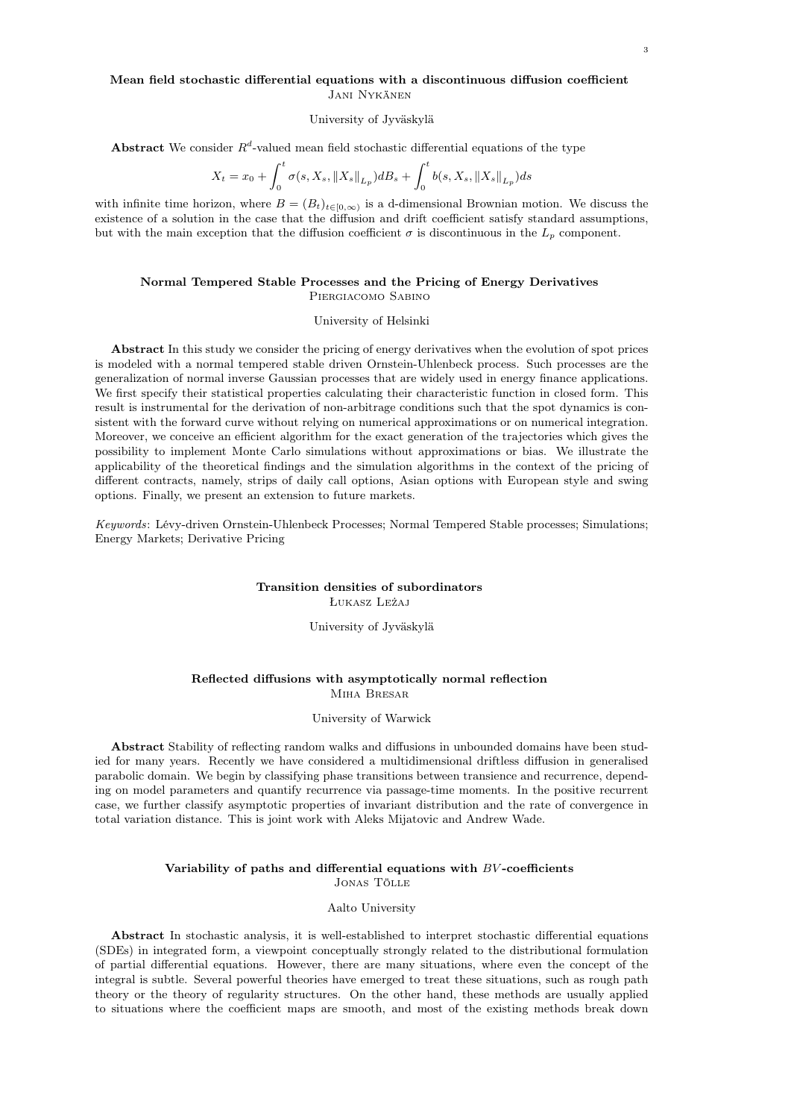# Mean field stochastic differential equations with a discontinuous diffusion coefficient Jani Nykänen

#### University of Jyväskylä

Abstract We consider  $R^d$ -valued mean field stochastic differential equations of the type

$$
X_t = x_0 + \int_0^t \sigma(s, X_s, \|X_s\|_{L_p}) dB_s + \int_0^t b(s, X_s, \|X_s\|_{L_p}) ds
$$

with infinite time horizon, where  $B = (B_t)_{t \in [0,\infty)}$  is a d-dimensional Brownian motion. We discuss the existence of a solution in the case that the diffusion and drift coefficient satisfy standard assumptions, but with the main exception that the diffusion coefficient  $\sigma$  is discontinuous in the  $L_p$  component.

## Normal Tempered Stable Processes and the Pricing of Energy Derivatives Piergiacomo Sabino

#### University of Helsinki

Abstract In this study we consider the pricing of energy derivatives when the evolution of spot prices is modeled with a normal tempered stable driven Ornstein-Uhlenbeck process. Such processes are the generalization of normal inverse Gaussian processes that are widely used in energy finance applications. We first specify their statistical properties calculating their characteristic function in closed form. This result is instrumental for the derivation of non-arbitrage conditions such that the spot dynamics is consistent with the forward curve without relying on numerical approximations or on numerical integration. Moreover, we conceive an efficient algorithm for the exact generation of the trajectories which gives the possibility to implement Monte Carlo simulations without approximations or bias. We illustrate the applicability of the theoretical findings and the simulation algorithms in the context of the pricing of different contracts, namely, strips of daily call options, Asian options with European style and swing options. Finally, we present an extension to future markets.

Keywords: Lévy-driven Ornstein-Uhlenbeck Processes; Normal Tempered Stable processes; Simulations; Energy Markets; Derivative Pricing

#### Transition densities of subordinators Łukasz Leżaj

University of Jyväskylä

## Reflected diffusions with asymptotically normal reflection Miha Bresar

#### University of Warwick

Abstract Stability of reflecting random walks and diffusions in unbounded domains have been studied for many years. Recently we have considered a multidimensional driftless diffusion in generalised parabolic domain. We begin by classifying phase transitions between transience and recurrence, depending on model parameters and quantify recurrence via passage-time moments. In the positive recurrent case, we further classify asymptotic properties of invariant distribution and the rate of convergence in total variation distance. This is joint work with Aleks Mijatovic and Andrew Wade.

## Variability of paths and differential equations with  $BV$ -coefficients Jonas Tölle

# Aalto University

Abstract In stochastic analysis, it is well-established to interpret stochastic differential equations (SDEs) in integrated form, a viewpoint conceptually strongly related to the distributional formulation of partial differential equations. However, there are many situations, where even the concept of the integral is subtle. Several powerful theories have emerged to treat these situations, such as rough path theory or the theory of regularity structures. On the other hand, these methods are usually applied to situations where the coefficient maps are smooth, and most of the existing methods break down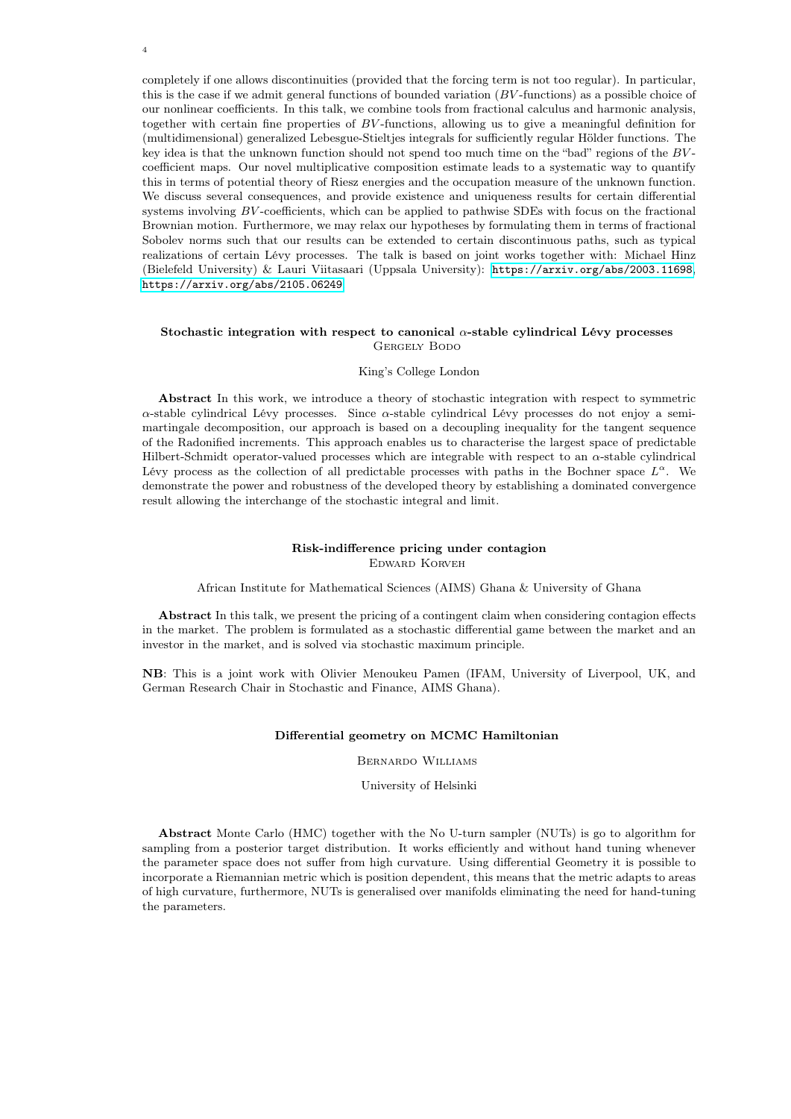completely if one allows discontinuities (provided that the forcing term is not too regular). In particular, this is the case if we admit general functions of bounded variation  $(BV$ -functions) as a possible choice of our nonlinear coefficients. In this talk, we combine tools from fractional calculus and harmonic analysis, together with certain fine properties of BV -functions, allowing us to give a meaningful definition for (multidimensional) generalized Lebesgue-Stieltjes integrals for sufficiently regular Hölder functions. The key idea is that the unknown function should not spend too much time on the "bad" regions of the BV coefficient maps. Our novel multiplicative composition estimate leads to a systematic way to quantify this in terms of potential theory of Riesz energies and the occupation measure of the unknown function. We discuss several consequences, and provide existence and uniqueness results for certain differential systems involving BV-coefficients, which can be applied to pathwise SDEs with focus on the fractional Brownian motion. Furthermore, we may relax our hypotheses by formulating them in terms of fractional Sobolev norms such that our results can be extended to certain discontinuous paths, such as typical realizations of certain Lévy processes. The talk is based on joint works together with: Michael Hinz (Bielefeld University) & Lauri Viitasaari (Uppsala University): <https://arxiv.org/abs/2003.11698>, <https://arxiv.org/abs/2105.06249>.

## Stochastic integration with respect to canonical  $\alpha$ -stable cylindrical Lévy processes GERGELY BODO

#### King's College London

Abstract In this work, we introduce a theory of stochastic integration with respect to symmetric α-stable cylindrical Lévy processes. Since α-stable cylindrical Lévy processes do not enjoy a semimartingale decomposition, our approach is based on a decoupling inequality for the tangent sequence of the Radonified increments. This approach enables us to characterise the largest space of predictable Hilbert-Schmidt operator-valued processes which are integrable with respect to an  $\alpha$ -stable cylindrical Lévy process as the collection of all predictable processes with paths in the Bochner space  $L^{\alpha}$ . We demonstrate the power and robustness of the developed theory by establishing a dominated convergence result allowing the interchange of the stochastic integral and limit.

# Risk-indifference pricing under contagion Edward Korveh

African Institute for Mathematical Sciences (AIMS) Ghana & University of Ghana

Abstract In this talk, we present the pricing of a contingent claim when considering contagion effects in the market. The problem is formulated as a stochastic differential game between the market and an investor in the market, and is solved via stochastic maximum principle.

NB: This is a joint work with Olivier Menoukeu Pamen (IFAM, University of Liverpool, UK, and German Research Chair in Stochastic and Finance, AIMS Ghana).

## Differential geometry on MCMC Hamiltonian

Bernardo Williams

University of Helsinki

Abstract Monte Carlo (HMC) together with the No U-turn sampler (NUTs) is go to algorithm for sampling from a posterior target distribution. It works efficiently and without hand tuning whenever the parameter space does not suffer from high curvature. Using differential Geometry it is possible to incorporate a Riemannian metric which is position dependent, this means that the metric adapts to areas of high curvature, furthermore, NUTs is generalised over manifolds eliminating the need for hand-tuning the parameters.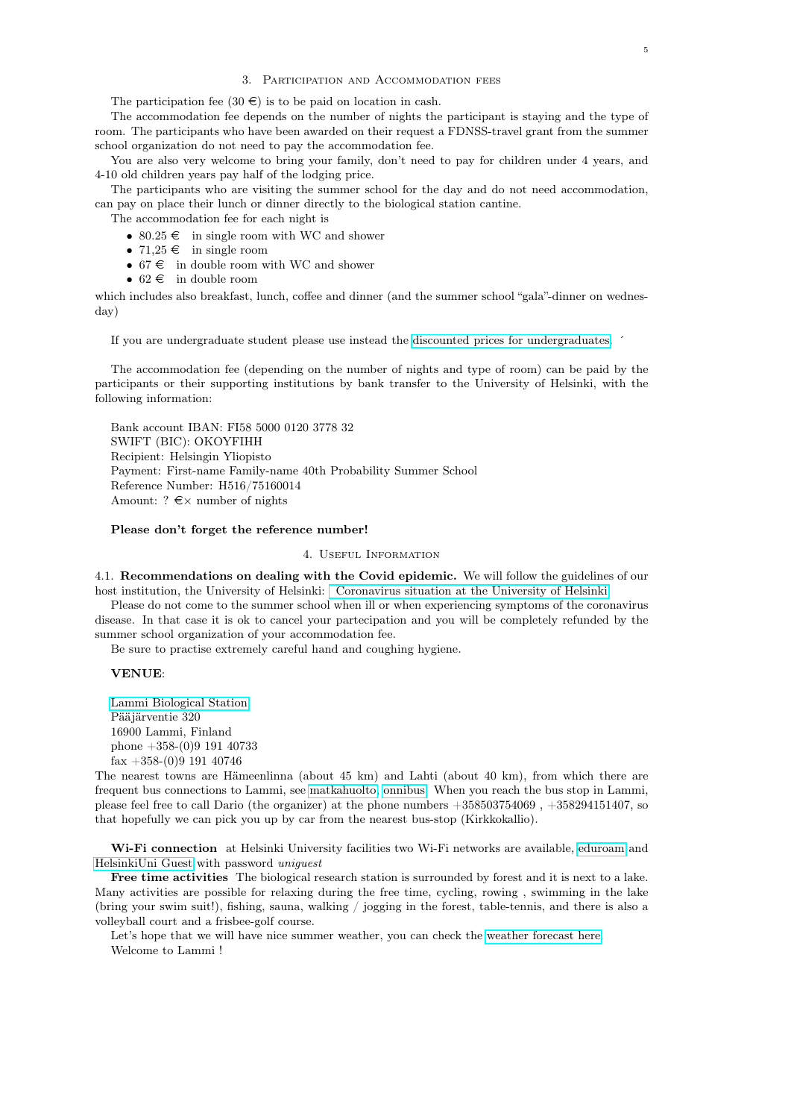## 3. Participation and Accommodation fees

The participation fee  $(30 \in \mathcal{E})$  is to be paid on location in cash.

The accommodation fee depends on the number of nights the participant is staying and the type of room. The participants who have been awarded on their request a FDNSS-travel grant from the summer school organization do not need to pay the accommodation fee.

You are also very welcome to bring your family, don't need to pay for children under 4 years, and 4-10 old children years pay half of the lodging price.

The participants who are visiting the summer school for the day and do not need accommodation, can pay on place their lunch or dinner directly to the biological station cantine.

The accommodation fee for each night is

- 80.25  $\epsilon$  in single room with WC and shower
- 71,25  $\in$  in single room
- 67  $\epsilon$  in double room with WC and shower
- 62  $\in$  in double room

which includes also breakfast, lunch, coffee and dinner (and the summer school "gala"-dinner on wednesday)

If you are undergraduate student please use instead the [discounted prices for undergraduates.](https://www2.helsinki.fi/sites/default/files/atoms/files/lbs_prices_2021_students.pdf) ´

The accommodation fee (depending on the number of nights and type of room) can be paid by the participants or their supporting institutions by bank transfer to the University of Helsinki, with the following information:

Bank account IBAN: FI58 5000 0120 3778 32 SWIFT (BIC): OKOYFIHH Recipient: Helsingin Yliopisto Payment: First-name Family-name 40th Probability Summer School Reference Number: H516/75160014 Amount: ?  $\xi \times$  number of nights

## Please don't forget the reference number!

## 4. Useful Information

4.1. Recommendations on dealing with the Covid epidemic. We will follow the guidelines of our host institution, the University of Helsinki: [Coronavirus situation at the University of Helsinki](https://www.helsinki.fi/en/news/coronavirus-situation)

Please do not come to the summer school when ill or when experiencing symptoms of the coronavirus disease. In that case it is ok to cancel your partecipation and you will be completely refunded by the summer school organization of your accommodation fee.

Be sure to practise extremely careful hand and coughing hygiene.

## VENUE:

[Lammi Biological Station](http://www.helsinki.fi/lammi/english.html) Pääjärventie 320 16900 Lammi, Finland phone +358-(0)9 191 40733  $\text{fax} + 358-(0)9$  191 40746

The nearest towns are Hämeenlinna (about 45 km) and Lahti (about 40 km), from which there are frequent bus connections to Lammi, see [matkahuolto,](http://www.matkahuolto.fi/en/) [onnibus.](https://www.onnibus.com/home) When you reach the bus stop in Lammi, please feel free to call Dario (the organizer) at the phone numbers +358503754069 , +358294151407, so that hopefully we can pick you up by car from the nearest bus-stop (Kirkkokallio).

Wi-Fi connection at Helsinki University facilities two Wi-Fi networks are available, [eduroam](https://helpdesk.it.helsinki.fi/en/logging-and-connections/networks/wireless-networks-university-helsinki#eduroam) and [HelsinkiUni Guest](https://helpdesk.it.helsinki.fi/en/instructions/logging-and-connections/networks/helsinkiuni-guest-visitor-network ) with password uniguest

Free time activities The biological research station is surrounded by forest and it is next to a lake. Many activities are possible for relaxing during the free time, cycling, rowing , swimming in the lake (bring your swim suit!), fishing, sauna, walking / jogging in the forest, table-tennis, and there is also a volleyball court and a frisbee-golf course.

Let's hope that we will have nice summer weather, you can check the [weather forecast here.](https://en.ilmatieteenLaitos.fi/weather/h%C3%A4meenlinna/lammi) Welcome to Lammi !